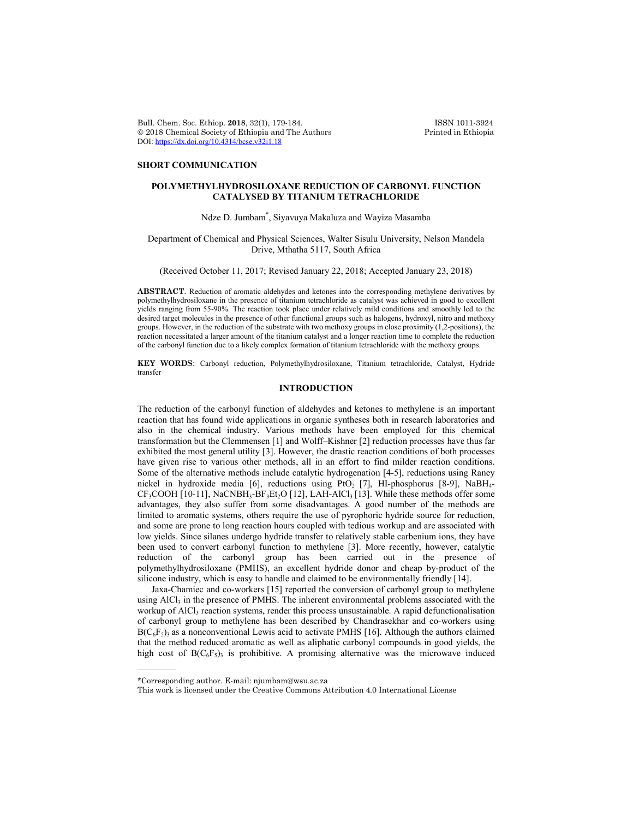Bull. Chem. Soc. Ethiop. 2018, 32(1), 179-184. **ISSN 1011-3924**<br>
© 2018 Chemical Society of Ethiopia and The Authors Printed in Ethiopia  $© 2018 Chemical Society of Ethiopia and The Authors$ DOI: https://dx.doi.org/10.4314/bcse.v32i1.18

## **SHORT COMMUNICATION**

# **POLYMETHYLHYDROSILOXANE REDUCTION OF CARBONYL FUNCTION CATALYSED BY TITANIUM TETRACHLORIDE**

# Ndze D. Jumbam\* , Siyavuya Makaluza and Wayiza Masamba

## Department of Chemical and Physical Sciences, Walter Sisulu University, Nelson Mandela Drive, Mthatha 5117, South Africa

## (Received October 11, 2017; Revised January 22, 2018; Accepted January 23, 2018)

**ABSTRACT**. Reduction of aromatic aldehydes and ketones into the corresponding methylene derivatives by polymethylhydrosiloxane in the presence of titanium tetrachloride as catalyst was achieved in good to excellent yields ranging from 55-90%. The reaction took place under relatively mild conditions and smoothly led to the desired target molecules in the presence of other functional groups such as halogens, hydroxyl, nitro and methoxy groups. However, in the reduction of the substrate with two methoxy groups in close proximity (1,2-positions), the reaction necessitated a larger amount of the titanium catalyst and a longer reaction time to complete the reduction of the carbonyl function due to a likely complex formation of titanium tetrachloride with the methoxy groups.

**KEY WORDS**: Carbonyl reduction, Polymethylhydrosiloxane, Titanium tetrachloride, Catalyst, Hydride transfer

## **INTRODUCTION**

The reduction of the carbonyl function of aldehydes and ketones to methylene is an important reaction that has found wide applications in organic syntheses both in research laboratories and also in the chemical industry. Various methods have been employed for this chemical transformation but the Clemmensen [1] and Wolff–Kishner [2] reduction processes have thus far exhibited the most general utility [3]. However, the drastic reaction conditions of both processes have given rise to various other methods, all in an effort to find milder reaction conditions. Some of the alternative methods include catalytic hydrogenation [4-5], reductions using Raney nickel in hydroxide media [6], reductions using PtO<sub>2</sub> [7], HI-phosphorus [8-9], NaBH<sub>4</sub>- $CF<sub>3</sub>COOH$  [10-11], NaCNBH<sub>3</sub>-BF<sub>3</sub>Et<sub>2</sub>O [12], LAH-AlCl<sub>3</sub> [13]. While these methods offer some advantages, they also suffer from some disadvantages. A good number of the methods are limited to aromatic systems, others require the use of pyrophoric hydride source for reduction, and some are prone to long reaction hours coupled with tedious workup and are associated with low yields. Since silanes undergo hydride transfer to relatively stable carbenium ions, they have been used to convert carbonyl function to methylene [3]. More recently, however, catalytic reduction of the carbonyl group has been carried out in the presence of polymethylhydrosiloxane (PMHS), an excellent hydride donor and cheap by-product of the silicone industry, which is easy to handle and claimed to be environmentally friendly [14].

Jaxa-Chamiec and co-workers [15] reported the conversion of carbonyl group to methylene using  $AICI_3$  in the presence of PMHS. The inherent environmental problems associated with the workup of  $AICI_3$  reaction systems, render this process unsustainable. A rapid defunctionalisation of carbonyl group to methylene has been described by Chandrasekhar and co-workers using  $B(C_6F_5)$  as a nonconventional Lewis acid to activate PMHS [16]. Although the authors claimed that the method reduced aromatic as well as aliphatic carbonyl compounds in good yields, the high cost of  $B(C_6F_5)$ <sub>3</sub> is prohibitive. A promising alternative was the microwave induced

 $\overline{\phantom{a}}$ 

<sup>\*</sup>Corresponding author. E-mail: njumbam@wsu.ac.za

This work is licensed under the Creative Commons Attribution 4.0 International License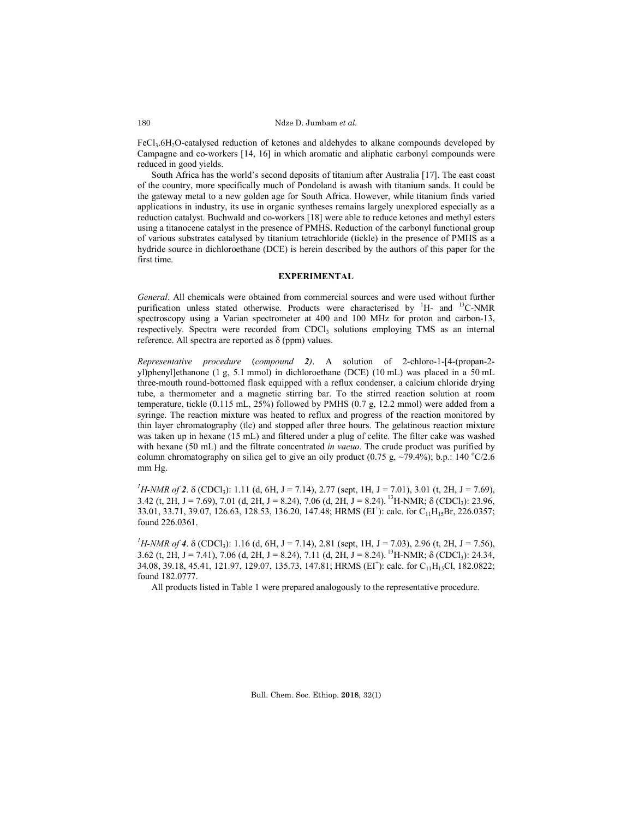Ndze D. Jumbam *et al.*

FeCl<sub>3</sub>.6H<sub>2</sub>O-catalysed reduction of ketones and aldehydes to alkane compounds developed by Campagne and co-workers [14, 16] in which aromatic and aliphatic carbonyl compounds were reduced in good yields.

South Africa has the world's second deposits of titanium after Australia [17]. The east coast of the country, more specifically much of Pondoland is awash with titanium sands. It could be the gateway metal to a new golden age for South Africa. However, while titanium finds varied applications in industry, its use in organic syntheses remains largely unexplored especially as a reduction catalyst. Buchwald and co-workers [18] were able to reduce ketones and methyl esters using a titanocene catalyst in the presence of PMHS. Reduction of the carbonyl functional group of various substrates catalysed by titanium tetrachloride (tickle) in the presence of PMHS as a hydride source in dichloroethane (DCE) is herein described by the authors of this paper for the first time.

## **EXPERIMENTAL**

*General*. All chemicals were obtained from commercial sources and were used without further purification unless stated otherwise. Products were characterised by  ${}^{1}$ H- and  ${}^{13}$ C-NMR spectroscopy using a Varian spectrometer at 400 and 100 MHz for proton and carbon-13, respectively. Spectra were recorded from CDCl<sub>3</sub> solutions employing TMS as an internal reference. All spectra are reported as  $\delta$  (ppm) values.

*Representative procedure* (*compound 2)*. A solution of 2-chloro-1-[4-(propan-2 yl)phenyl]ethanone (1 g, 5.1 mmol) in dichloroethane (DCE) (10 mL) was placed in a 50 mL three-mouth round-bottomed flask equipped with a reflux condenser, a calcium chloride drying tube, a thermometer and a magnetic stirring bar. To the stirred reaction solution at room temperature, tickle (0.115 mL, 25%) followed by PMHS (0.7 g, 12.2 mmol) were added from a syringe. The reaction mixture was heated to reflux and progress of the reaction monitored by thin layer chromatography (tlc) and stopped after three hours. The gelatinous reaction mixture was taken up in hexane (15 mL) and filtered under a plug of celite. The filter cake was washed with hexane (50 mL) and the filtrate concentrated *in vacuo*. The crude product was purified by column chromatography on silica gel to give an oily product (0.75 g,  $\sim$ 79.4%); b.p.: 140 °C/2.6 mm Hg.

<sup>1</sup>H-NMR of 2.  $\delta$  (CDCl<sub>3</sub>): 1.11 (d, 6H, J = 7.14), 2.77 (sept, 1H, J = 7.01), 3.01 (t, 2H, J = 7.69), 3.42 (t, 2H, J = 7.69), 7.01 (d, 2H, J = 8.24), 7.06 (d, 2H, J = 8.24). <sup>13</sup>H-NMR;  $\delta$  (CDCl<sub>3</sub>): 23.96, 33.01, 33.71, 39.07, 126.63, 128.53, 136.20, 147.48; HRMS (EI<sup>+</sup>): calc. for C<sub>11</sub>H<sub>15</sub>Br, 226.0357; found 226.0361.

<sup>1</sup>H-NMR of 4.  $\delta$  (CDCl<sub>3</sub>): 1.16 (d, 6H, J = 7.14), 2.81 (sept, 1H, J = 7.03), 2.96 (t, 2H, J = 7.56), 3.62 (t, 2H, J = 7.41), 7.06 (d, 2H, J = 8.24), 7.11 (d, 2H, J = 8.24). <sup>13</sup>H-NMR;  $\delta$  (CDCl<sub>3</sub>): 24.34, 34.08, 39.18, 45.41, 121.97, 129.07, 135.73, 147.81; HRMS (EI<sup>+</sup>): calc. for C<sub>11</sub>H<sub>15</sub>Cl, 182.0822; found 182.0777.

All products listed in Table 1 were prepared analogously to the representative procedure.

Bull. Chem. Soc. Ethiop. **2018**, 32(1)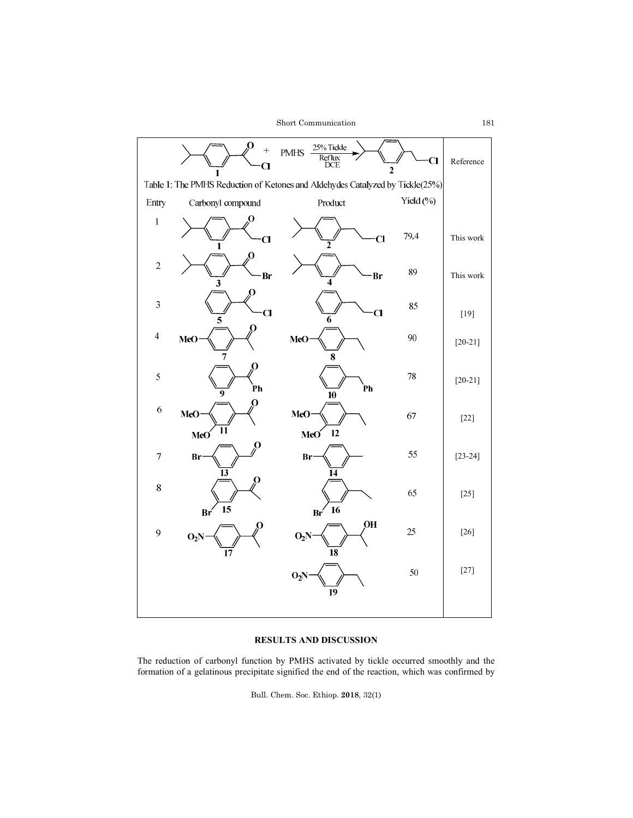

# **RESULTS AND DISCUSSION**

The reduction of carbonyl function by PMHS activated by tickle occurred smoothly and the formation of a gelatinous precipitate signified the end of the reaction, which was confirmed by

Bull. Chem. Soc. Ethiop. **2018**, 32(1)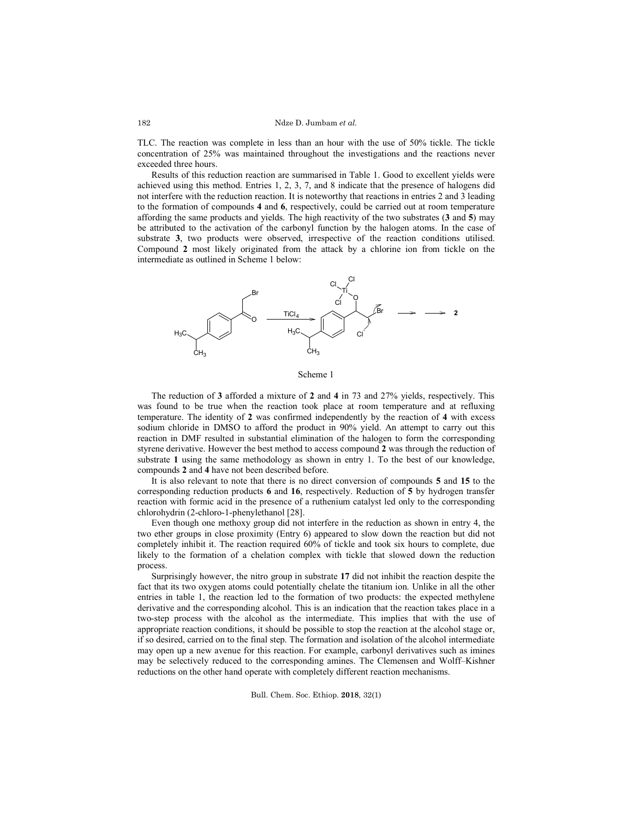TLC. The reaction was complete in less than an hour with the use of 50% tickle. The tickle concentration of 25% was maintained throughout the investigations and the reactions never exceeded three hours.

Results of this reduction reaction are summarised in Table 1. Good to excellent yields were achieved using this method. Entries 1, 2, 3, 7, and 8 indicate that the presence of halogens did not interfere with the reduction reaction. It is noteworthy that reactions in entries 2 and 3 leading to the formation of compounds **4** and **6**, respectively, could be carried out at room temperature affording the same products and yields. The high reactivity of the two substrates (**3** and **5**) may be attributed to the activation of the carbonyl function by the halogen atoms. In the case of substrate **3**, two products were observed, irrespective of the reaction conditions utilised. Compound **2** most likely originated from the attack by a chlorine ion from tickle on the intermediate as outlined in Scheme 1 below:



Scheme 1

The reduction of **3** afforded a mixture of **2** and **4** in 73 and 27% yields, respectively. This was found to be true when the reaction took place at room temperature and at refluxing temperature. The identity of **2** was confirmed independently by the reaction of **4** with excess sodium chloride in DMSO to afford the product in 90% yield. An attempt to carry out this reaction in DMF resulted in substantial elimination of the halogen to form the corresponding styrene derivative. However the best method to access compound **2** was through the reduction of substrate **1** using the same methodology as shown in entry 1. To the best of our knowledge, compounds **2** and **4** have not been described before.

It is also relevant to note that there is no direct conversion of compounds **5** and **15** to the corresponding reduction products **6** and **16**, respectively. Reduction of **5** by hydrogen transfer reaction with formic acid in the presence of a ruthenium catalyst led only to the corresponding chlorohydrin (2-chloro-1-phenylethanol [28].

Even though one methoxy group did not interfere in the reduction as shown in entry 4, the two ether groups in close proximity (Entry 6) appeared to slow down the reaction but did not completely inhibit it. The reaction required 60% of tickle and took six hours to complete, due likely to the formation of a chelation complex with tickle that slowed down the reduction process.

Surprisingly however, the nitro group in substrate **17** did not inhibit the reaction despite the fact that its two oxygen atoms could potentially chelate the titanium ion. Unlike in all the other entries in table 1, the reaction led to the formation of two products: the expected methylene derivative and the corresponding alcohol. This is an indication that the reaction takes place in a two-step process with the alcohol as the intermediate. This implies that with the use of appropriate reaction conditions, it should be possible to stop the reaction at the alcohol stage or, if so desired, carried on to the final step. The formation and isolation of the alcohol intermediate may open up a new avenue for this reaction. For example, carbonyl derivatives such as imines may be selectively reduced to the corresponding amines. The Clemensen and Wolff–Kishner reductions on the other hand operate with completely different reaction mechanisms.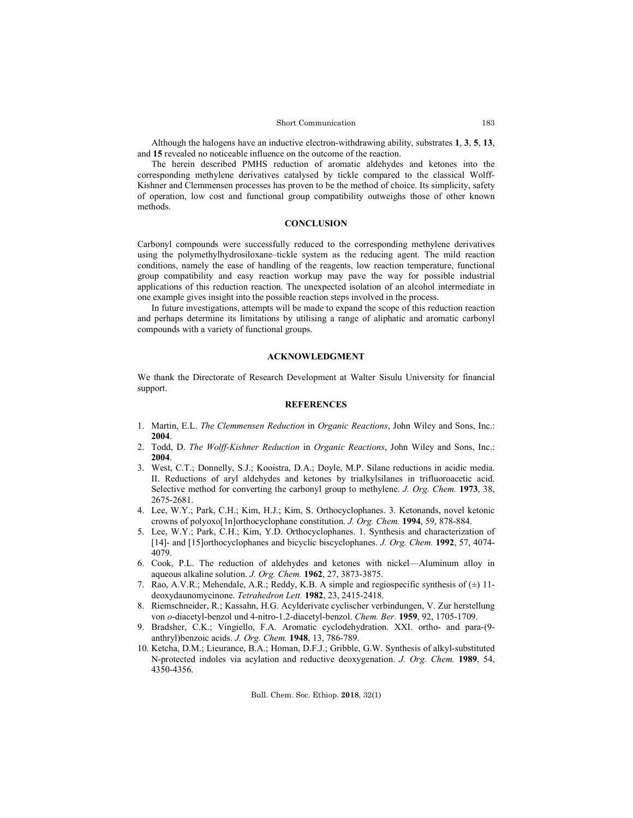### Short Communication

Although the halogens have an inductive electron-withdrawing ability, substrates **1**, **3**, **5**, **13**, and **15** revealed no noticeable influence on the outcome of the reaction.

The herein described PMHS reduction of aromatic aldehydes and ketones into the corresponding methylene derivatives catalysed by tickle compared to the classical Wolff-Kishner and Clemmensen processes has proven to be the method of choice. Its simplicity, safety of operation, low cost and functional group compatibility outweighs those of other known methods.

## **CONCLUSION**

Carbonyl compounds were successfully reduced to the corresponding methylene derivatives using the polymethylhydrosiloxane–tickle system as the reducing agent. The mild reaction conditions, namely the ease of handling of the reagents, low reaction temperature, functional group compatibility and easy reaction workup may pave the way for possible industrial applications of this reduction reaction. The unexpected isolation of an alcohol intermediate in one example gives insight into the possible reaction steps involved in the process.

In future investigations, attempts will be made to expand the scope of this reduction reaction and perhaps determine its limitations by utilising a range of aliphatic and aromatic carbonyl compounds with a variety of functional groups.

## **ACKNOWLEDGMENT**

We thank the Directorate of Research Development at Walter Sisulu University for financial support.

# **REFERENCES**

- 1. Martin, E.L. *The Clemmensen Reduction* in *Organic Reactions*, John Wiley and Sons, Inc.: **2004**.
- 2. Todd, D. *The Wolff-Kishner Reduction* in *Organic Reactions*, John Wiley and Sons, Inc.: **2004**.
- 3. West, C.T.; Donnelly, S.J.; Kooistra, D.A.; Doyle, M.P. Silane reductions in acidic media. II. Reductions of aryl aldehydes and ketones by trialkylsilanes in trifluoroacetic acid. Selective method for converting the carbonyl group to methylene. *J. Org. Chem.* **1973**, 38, 2675-2681.
- 4. Lee, W.Y.; Park, C.H.; Kim, H.J.; Kim, S. Orthocyclophanes. 3. Ketonands, novel ketonic crowns of polyoxo[1n]orthocyclophane constitution. *J. Org. Chem.* **1994**, 59, 878-884.
- 5. Lee, W.Y.; Park, C.H.; Kim, Y.D. Orthocyclophanes. 1. Synthesis and characterization of [14]- and [15]orthocyclophanes and bicyclic biscyclophanes. *J. Org. Chem.* **1992**, 57, 4074- 4079.
- 6. Cook, P.L. The reduction of aldehydes and ketones with nickel—Aluminum alloy in aqueous alkaline solution. *J. Org. Chem.* **1962**, 27, 3873-3875.
- 7. Rao, A.V.R.; Mehendale, A.R.; Reddy, K.B. A simple and regiospecific synthesis of  $(\pm)$  11deoxydaunomycinone. *Tetrahedron Lett.* **1982**, 23, 2415-2418.
- 8. Riemschneider, R.; Kassahn, H.G. Acylderivate cyclischer verbindungen, V. Zur herstellung von *o*-diacetyl-benzol und 4-nitro-1.2-diacetyl-benzol. *Chem. Ber.* **1959**, 92, 1705-1709.
- 9. Bradsher, C.K.; Vingiello, F.A. Aromatic cyclodehydration. XXI. ortho- and para-(9 anthryl)benzoic acids. *J. Org. Chem.* **1948**, 13, 786-789.
- 10. Ketcha, D.M.; Lieurance, B.A.; Homan, D.F.J.; Gribble, G.W. Synthesis of alkyl-substituted N-protected indoles via acylation and reductive deoxygenation. *J. Org. Chem.* **1989**, 54, 4350-4356.